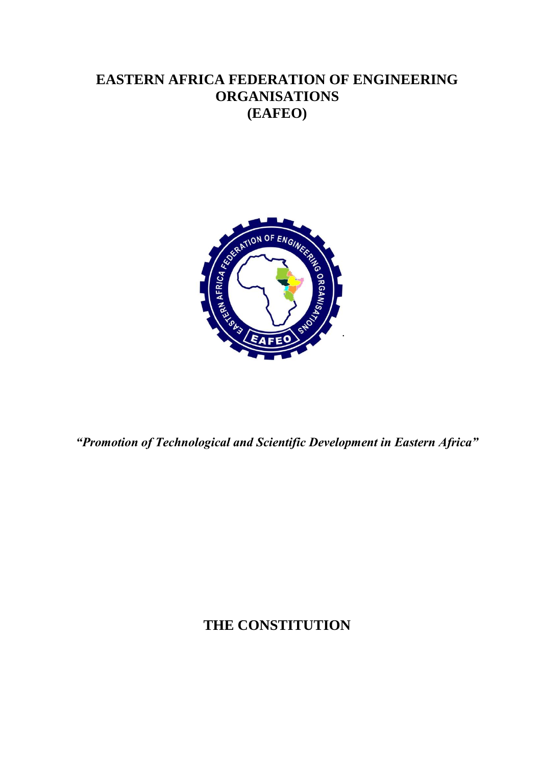## **EASTERN AFRICA FEDERATION OF ENGINEERING ORGANISATIONS (EAFEO)**



*"Promotion of Technological and Scientific Development in Eastern Africa"*

# **THE CONSTITUTION**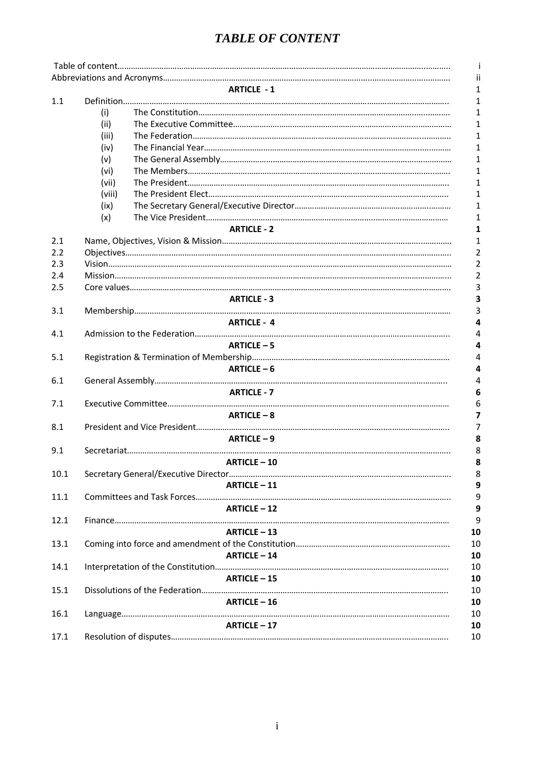### *TABLE OF CONTENT*

|      |        |                       | ii             |  |  |  |
|------|--------|-----------------------|----------------|--|--|--|
|      |        | <b>ARTICLE - 1</b>    | 1              |  |  |  |
| 1.1  |        |                       | 1              |  |  |  |
|      | (i)    |                       | 1              |  |  |  |
|      | (ii)   |                       | 1              |  |  |  |
|      | (iii)  |                       | $\mathbf{1}$   |  |  |  |
|      | (iv)   |                       | 1              |  |  |  |
|      | (v)    |                       | 1              |  |  |  |
|      | (vi)   |                       | 1              |  |  |  |
|      | (vii)  |                       | 1              |  |  |  |
|      | (viii) |                       | 1              |  |  |  |
|      | (ix)   |                       | 1              |  |  |  |
|      | (x)    |                       | 1              |  |  |  |
|      |        | <b>ARTICLE - 2</b>    | 1              |  |  |  |
| 2.1  |        |                       | 1              |  |  |  |
| 2.2  |        |                       | 2              |  |  |  |
| 2.3  |        |                       | $\overline{2}$ |  |  |  |
| 2.4  |        |                       | $\overline{2}$ |  |  |  |
| 2.5  |        |                       | 3              |  |  |  |
|      |        | <b>ARTICLE - 3</b>    | 3              |  |  |  |
| 3.1  |        |                       |                |  |  |  |
|      |        | <b>ARTICLE - 4</b>    |                |  |  |  |
| 4.1  |        |                       | 4              |  |  |  |
|      |        | <b>ARTICLE-5</b><br>4 |                |  |  |  |
| 5.1  |        | 4                     |                |  |  |  |
|      |        | ARTICLE $-6$          | 4              |  |  |  |
| 6.1  |        |                       | 4              |  |  |  |
|      |        | <b>ARTICLE - 7</b>    | 6              |  |  |  |
| 7.1  |        |                       | 6              |  |  |  |
|      |        | $ARTICLE - 8$         | 7              |  |  |  |
| 8.1  |        |                       |                |  |  |  |
|      |        | ARTICLE-9             | 8              |  |  |  |
| 9.1  |        |                       | 8              |  |  |  |
|      |        | <b>ARTICLE-10</b>     | 8              |  |  |  |
| 10.1 |        |                       | 8              |  |  |  |
|      |        | <b>ARTICLE-11</b>     | 9              |  |  |  |
| 11.1 |        |                       | 9              |  |  |  |
|      |        | <b>ARTICLE - 12</b>   | 9              |  |  |  |
| 12.1 |        |                       | 9              |  |  |  |
|      |        | <b>ARTICLE - 13</b>   | 10             |  |  |  |
| 13.1 |        |                       | 10             |  |  |  |
|      |        | <b>ARTICLE-14</b>     | 10             |  |  |  |
| 14.1 |        |                       | 10             |  |  |  |
|      |        | <b>ARTICLE-15</b>     | 10             |  |  |  |
|      |        |                       |                |  |  |  |
| 15.1 |        | $ARTICLE - 16$        | 10             |  |  |  |
|      |        |                       | 10             |  |  |  |
| 16.1 |        | ARTICLE-17            | 10             |  |  |  |
|      |        |                       | 10             |  |  |  |
| 17.1 |        |                       | 10             |  |  |  |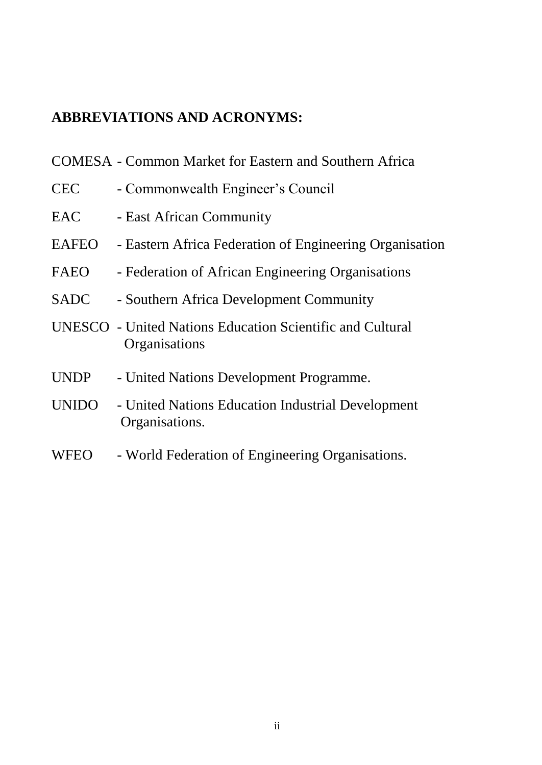# **ABBREVIATIONS AND ACRONYMS:**

|              | <b>COMESA</b> - Common Market for Eastern and Southern Africa              |
|--------------|----------------------------------------------------------------------------|
| <b>CEC</b>   | - Commonwealth Engineer's Council                                          |
| <b>EAC</b>   | - East African Community                                                   |
| EAFEO        | - Eastern Africa Federation of Engineering Organisation                    |
| FAEO         | - Federation of African Engineering Organisations                          |
| <b>SADC</b>  | - Southern Africa Development Community                                    |
|              | UNESCO - United Nations Education Scientific and Cultural<br>Organisations |
| <b>UNDP</b>  | - United Nations Development Programme.                                    |
| <b>UNIDO</b> | - United Nations Education Industrial Development<br>Organisations.        |

WFEO - World Federation of Engineering Organisations.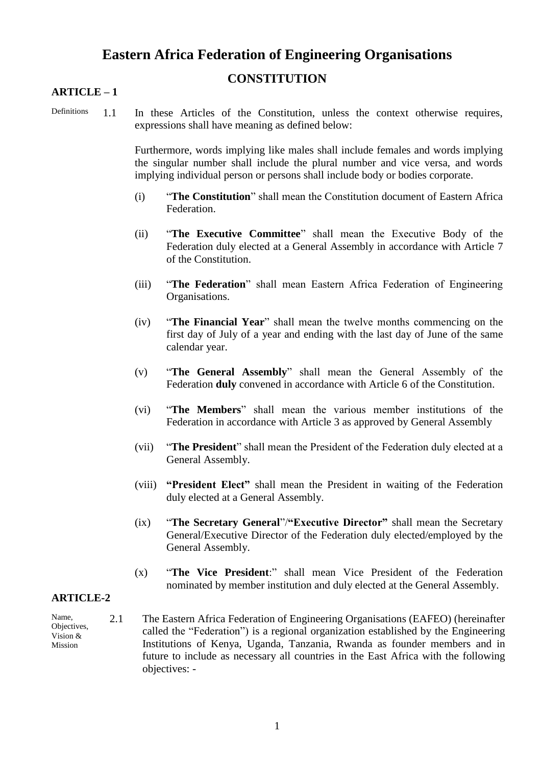### **Eastern Africa Federation of Engineering Organisations**

### **CONSTITUTION**

#### **ARTICLE – 1**

- 
- Definitions 1.1 In these Articles of the Constitution, unless the context otherwise requires, expressions shall have meaning as defined below:

Furthermore, words implying like males shall include females and words implying the singular number shall include the plural number and vice versa, and words implying individual person or persons shall include body or bodies corporate.

- (i) "**The Constitution**" shall mean the Constitution document of Eastern Africa Federation.
- (ii) "**The Executive Committee**" shall mean the Executive Body of the Federation duly elected at a General Assembly in accordance with Article 7 of the Constitution.
- (iii) "**The Federation**" shall mean Eastern Africa Federation of Engineering Organisations.
- (iv) "**The Financial Year**" shall mean the twelve months commencing on the first day of July of a year and ending with the last day of June of the same calendar year.
- (v) "**The General Assembly**" shall mean the General Assembly of the Federation **duly** convened in accordance with Article 6 of the Constitution.
- (vi) "**The Members**" shall mean the various member institutions of the Federation in accordance with Article 3 as approved by General Assembly
- (vii) "**The President**" shall mean the President of the Federation duly elected at a General Assembly.
- (viii) **"President Elect"** shall mean the President in waiting of the Federation duly elected at a General Assembly.
- (ix) "**The Secretary General**"/**"Executive Director"** shall mean the Secretary General/Executive Director of the Federation duly elected/employed by the General Assembly.
- (x) "**The Vice President**:" shall mean Vice President of the Federation nominated by member institution and duly elected at the General Assembly.

#### **ARTICLE-2**

- Name, Objectives, Vision & Mission
- 2.1 The Eastern Africa Federation of Engineering Organisations (EAFEO) (hereinafter called the "Federation") is a regional organization established by the Engineering Institutions of Kenya, Uganda, Tanzania, Rwanda as founder members and in future to include as necessary all countries in the East Africa with the following objectives: -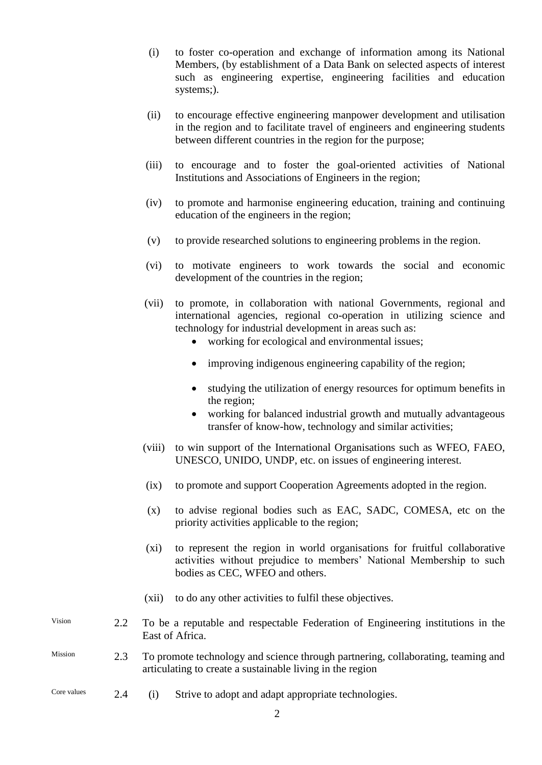- (i) to foster co-operation and exchange of information among its National Members, (by establishment of a Data Bank on selected aspects of interest such as engineering expertise, engineering facilities and education systems;).
- (ii) to encourage effective engineering manpower development and utilisation in the region and to facilitate travel of engineers and engineering students between different countries in the region for the purpose;
- (iii) to encourage and to foster the goal-oriented activities of National Institutions and Associations of Engineers in the region;
- (iv) to promote and harmonise engineering education, training and continuing education of the engineers in the region;
- (v) to provide researched solutions to engineering problems in the region.
- (vi) to motivate engineers to work towards the social and economic development of the countries in the region;
- (vii) to promote, in collaboration with national Governments, regional and international agencies, regional co-operation in utilizing science and technology for industrial development in areas such as:
	- working for ecological and environmental issues:
	- improving indigenous engineering capability of the region;
	- studying the utilization of energy resources for optimum benefits in the region;
	- working for balanced industrial growth and mutually advantageous transfer of know-how, technology and similar activities;
- (viii) to win support of the International Organisations such as WFEO, FAEO, UNESCO, UNIDO, UNDP, etc. on issues of engineering interest.
- (ix) to promote and support Cooperation Agreements adopted in the region.
- (x) to advise regional bodies such as EAC, SADC, COMESA, etc on the priority activities applicable to the region;
- (xi) to represent the region in world organisations for fruitful collaborative activities without prejudice to members' National Membership to such bodies as CEC, WFEO and others.
- (xii) to do any other activities to fulfil these objectives.
- Vision 2.2 To be a reputable and respectable Federation of Engineering institutions in the East of Africa.
- Mission 2.3 To promote technology and science through partnering, collaborating, teaming and articulating to create a sustainable living in the region
- Core values 2.4 (i) Strive to adopt and adapt appropriate technologies.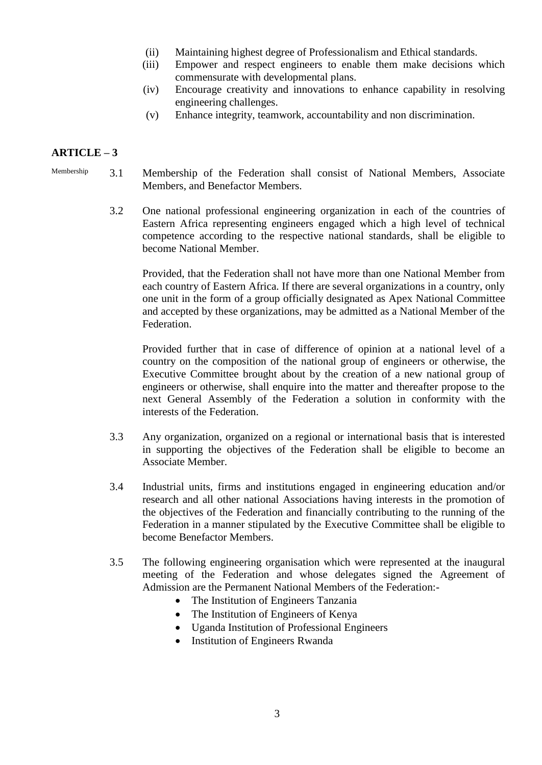- (ii) Maintaining highest degree of Professionalism and Ethical standards.
- (iii) Empower and respect engineers to enable them make decisions which commensurate with developmental plans.
- (iv) Encourage creativity and innovations to enhance capability in resolving engineering challenges.
- (v) Enhance integrity, teamwork, accountability and non discrimination.

- Membership 3.1 Membership of the Federation shall consist of National Members, Associate Members, and Benefactor Members.
	- 3.2 One national professional engineering organization in each of the countries of Eastern Africa representing engineers engaged which a high level of technical competence according to the respective national standards, shall be eligible to become National Member.

Provided, that the Federation shall not have more than one National Member from each country of Eastern Africa. If there are several organizations in a country, only one unit in the form of a group officially designated as Apex National Committee and accepted by these organizations, may be admitted as a National Member of the Federation.

Provided further that in case of difference of opinion at a national level of a country on the composition of the national group of engineers or otherwise, the Executive Committee brought about by the creation of a new national group of engineers or otherwise, shall enquire into the matter and thereafter propose to the next General Assembly of the Federation a solution in conformity with the interests of the Federation.

- 3.3 Any organization, organized on a regional or international basis that is interested in supporting the objectives of the Federation shall be eligible to become an Associate Member.
- 3.4 Industrial units, firms and institutions engaged in engineering education and/or research and all other national Associations having interests in the promotion of the objectives of the Federation and financially contributing to the running of the Federation in a manner stipulated by the Executive Committee shall be eligible to become Benefactor Members.
- 3.5 The following engineering organisation which were represented at the inaugural meeting of the Federation and whose delegates signed the Agreement of Admission are the Permanent National Members of the Federation:-
	- The Institution of Engineers Tanzania
	- The Institution of Engineers of Kenya
	- Uganda Institution of Professional Engineers
	- Institution of Engineers Rwanda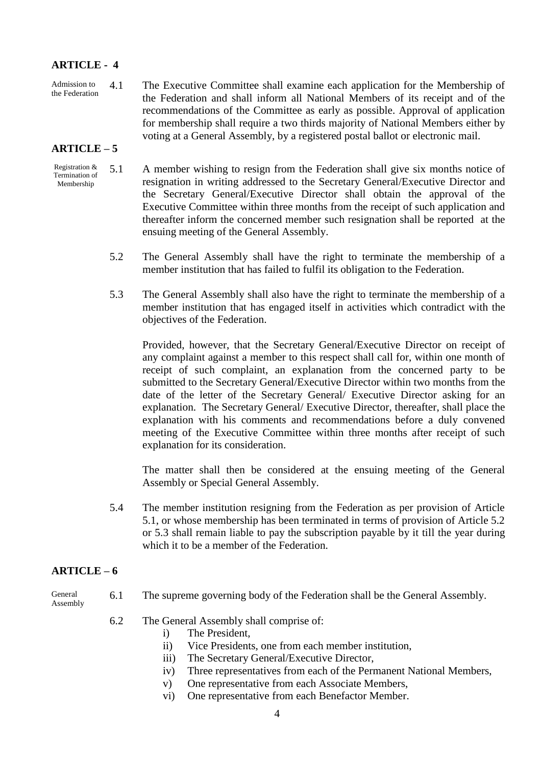#### **ARTICLE - 4**

Admission to the Federation 4.1 The Executive Committee shall examine each application for the Membership of the Federation and shall inform all National Members of its receipt and of the recommendations of the Committee as early as possible. Approval of application for membership shall require a two thirds majority of National Members either by voting at a General Assembly, by a registered postal ballot or electronic mail.

#### **ARTICLE – 5**

- Registration & Termination of Membership 5.1 A member wishing to resign from the Federation shall give six months notice of resignation in writing addressed to the Secretary General/Executive Director and the Secretary General/Executive Director shall obtain the approval of the Executive Committee within three months from the receipt of such application and thereafter inform the concerned member such resignation shall be reported at the ensuing meeting of the General Assembly.
	- 5.2 The General Assembly shall have the right to terminate the membership of a member institution that has failed to fulfil its obligation to the Federation.
	- 5.3 The General Assembly shall also have the right to terminate the membership of a member institution that has engaged itself in activities which contradict with the objectives of the Federation.

Provided, however, that the Secretary General/Executive Director on receipt of any complaint against a member to this respect shall call for, within one month of receipt of such complaint, an explanation from the concerned party to be submitted to the Secretary General/Executive Director within two months from the date of the letter of the Secretary General/ Executive Director asking for an explanation. The Secretary General/ Executive Director, thereafter, shall place the explanation with his comments and recommendations before a duly convened meeting of the Executive Committee within three months after receipt of such explanation for its consideration.

The matter shall then be considered at the ensuing meeting of the General Assembly or Special General Assembly.

5.4 The member institution resigning from the Federation as per provision of Article 5.1, or whose membership has been terminated in terms of provision of Article 5.2 or 5.3 shall remain liable to pay the subscription payable by it till the year during which it to be a member of the Federation.

#### **ARTICLE – 6**

- General Assembly 6.1 The supreme governing body of the Federation shall be the General Assembly.
	- 6.2 The General Assembly shall comprise of:
		- i) The President,
		- ii) Vice Presidents, one from each member institution,
		- iii) The Secretary General/Executive Director,
		- iv) Three representatives from each of the Permanent National Members,
		- v) One representative from each Associate Members,
		- vi) One representative from each Benefactor Member.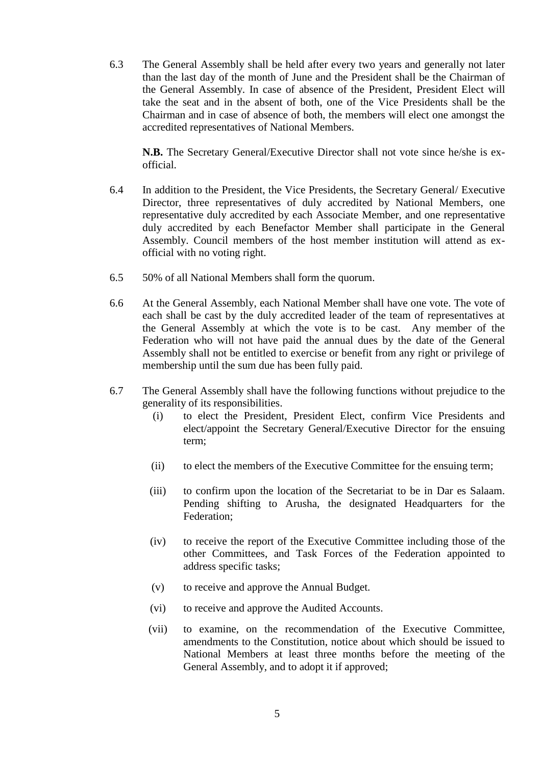6.3 The General Assembly shall be held after every two years and generally not later than the last day of the month of June and the President shall be the Chairman of the General Assembly. In case of absence of the President, President Elect will take the seat and in the absent of both, one of the Vice Presidents shall be the Chairman and in case of absence of both, the members will elect one amongst the accredited representatives of National Members.

**N.B.** The Secretary General/Executive Director shall not vote since he/she is exofficial.

- 6.4 In addition to the President, the Vice Presidents, the Secretary General/ Executive Director, three representatives of duly accredited by National Members, one representative duly accredited by each Associate Member, and one representative duly accredited by each Benefactor Member shall participate in the General Assembly. Council members of the host member institution will attend as exofficial with no voting right.
- 6.5 50% of all National Members shall form the quorum.
- 6.6 At the General Assembly, each National Member shall have one vote. The vote of each shall be cast by the duly accredited leader of the team of representatives at the General Assembly at which the vote is to be cast. Any member of the Federation who will not have paid the annual dues by the date of the General Assembly shall not be entitled to exercise or benefit from any right or privilege of membership until the sum due has been fully paid.
- 6.7 The General Assembly shall have the following functions without prejudice to the generality of its responsibilities.
	- (i) to elect the President, President Elect, confirm Vice Presidents and elect/appoint the Secretary General/Executive Director for the ensuing term;
	- (ii) to elect the members of the Executive Committee for the ensuing term;
	- (iii) to confirm upon the location of the Secretariat to be in Dar es Salaam. Pending shifting to Arusha, the designated Headquarters for the Federation;
	- (iv) to receive the report of the Executive Committee including those of the other Committees, and Task Forces of the Federation appointed to address specific tasks;
	- (v) to receive and approve the Annual Budget.
	- (vi) to receive and approve the Audited Accounts.
	- (vii) to examine, on the recommendation of the Executive Committee, amendments to the Constitution, notice about which should be issued to National Members at least three months before the meeting of the General Assembly, and to adopt it if approved;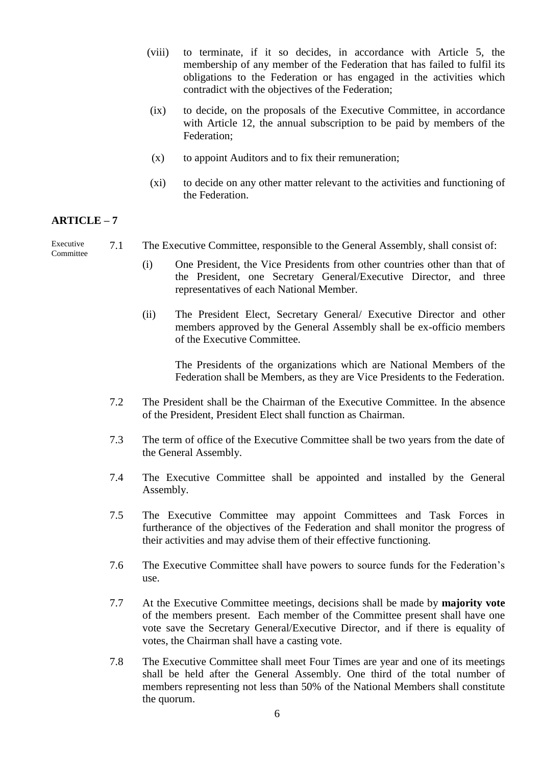- (viii) to terminate, if it so decides, in accordance with Article 5, the membership of any member of the Federation that has failed to fulfil its obligations to the Federation or has engaged in the activities which contradict with the objectives of the Federation;
- (ix) to decide, on the proposals of the Executive Committee, in accordance with Article 12, the annual subscription to be paid by members of the Federation;
- (x) to appoint Auditors and to fix their remuneration;
- (xi) to decide on any other matter relevant to the activities and functioning of the Federation.

Executive Committee 7.1 The Executive Committee, responsible to the General Assembly, shall consist of:

- (i) One President, the Vice Presidents from other countries other than that of the President, one Secretary General/Executive Director, and three representatives of each National Member.
- (ii) The President Elect, Secretary General/ Executive Director and other members approved by the General Assembly shall be ex-officio members of the Executive Committee.

The Presidents of the organizations which are National Members of the Federation shall be Members, as they are Vice Presidents to the Federation.

- 7.2 The President shall be the Chairman of the Executive Committee. In the absence of the President, President Elect shall function as Chairman.
- 7.3 The term of office of the Executive Committee shall be two years from the date of the General Assembly.
- 7.4 The Executive Committee shall be appointed and installed by the General Assembly.
- 7.5 The Executive Committee may appoint Committees and Task Forces in furtherance of the objectives of the Federation and shall monitor the progress of their activities and may advise them of their effective functioning.
- 7.6 The Executive Committee shall have powers to source funds for the Federation's use.
- 7.7 At the Executive Committee meetings, decisions shall be made by **majority vote** of the members present. Each member of the Committee present shall have one vote save the Secretary General/Executive Director, and if there is equality of votes, the Chairman shall have a casting vote.
- 7.8 The Executive Committee shall meet Four Times are year and one of its meetings shall be held after the General Assembly. One third of the total number of members representing not less than 50% of the National Members shall constitute the quorum.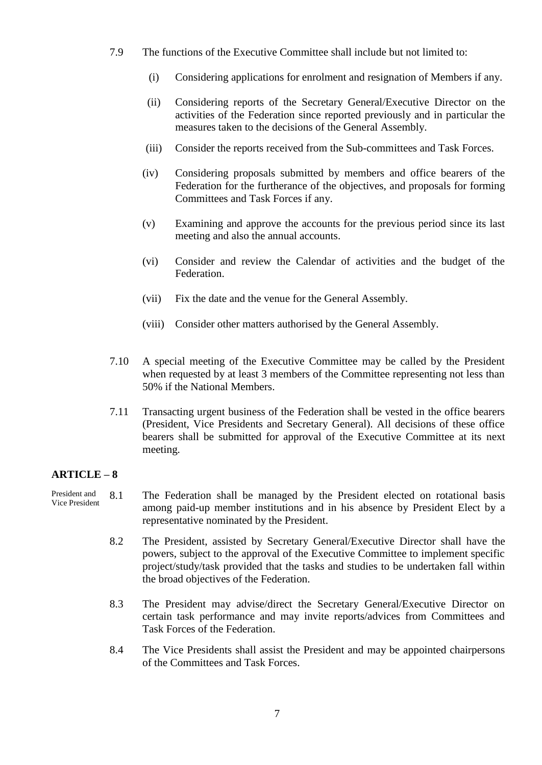- 7.9 The functions of the Executive Committee shall include but not limited to:
	- (i) Considering applications for enrolment and resignation of Members if any.
	- (ii) Considering reports of the Secretary General/Executive Director on the activities of the Federation since reported previously and in particular the measures taken to the decisions of the General Assembly.
	- (iii) Consider the reports received from the Sub-committees and Task Forces.
	- (iv) Considering proposals submitted by members and office bearers of the Federation for the furtherance of the objectives, and proposals for forming Committees and Task Forces if any.
	- (v) Examining and approve the accounts for the previous period since its last meeting and also the annual accounts.
	- (vi) Consider and review the Calendar of activities and the budget of the Federation.
	- (vii) Fix the date and the venue for the General Assembly.
	- (viii) Consider other matters authorised by the General Assembly.
- 7.10 A special meeting of the Executive Committee may be called by the President when requested by at least 3 members of the Committee representing not less than 50% if the National Members.
- 7.11 Transacting urgent business of the Federation shall be vested in the office bearers (President, Vice Presidents and Secretary General). All decisions of these office bearers shall be submitted for approval of the Executive Committee at its next meeting.

- President and Vice President 8.1 The Federation shall be managed by the President elected on rotational basis among paid-up member institutions and in his absence by President Elect by a representative nominated by the President.
	- 8.2 The President, assisted by Secretary General/Executive Director shall have the powers, subject to the approval of the Executive Committee to implement specific project/study/task provided that the tasks and studies to be undertaken fall within the broad objectives of the Federation.
	- 8.3 The President may advise/direct the Secretary General/Executive Director on certain task performance and may invite reports/advices from Committees and Task Forces of the Federation.
	- 8.4 The Vice Presidents shall assist the President and may be appointed chairpersons of the Committees and Task Forces.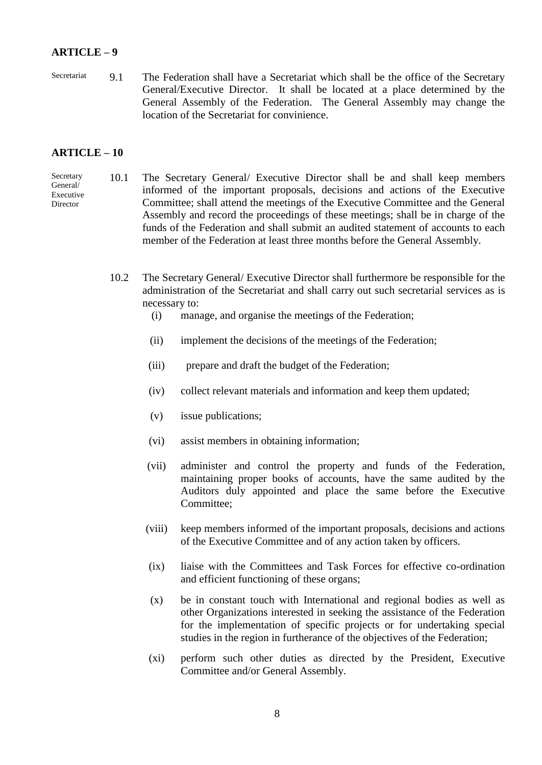Secretariat 9.1 The Federation shall have a Secretariat which shall be the office of the Secretary General/Executive Director. It shall be located at a place determined by the General Assembly of the Federation. The General Assembly may change the location of the Secretariat for convinience.

#### **ARTICLE – 10**

Secretary General/ Executive Director

- 10.1 The Secretary General/ Executive Director shall be and shall keep members informed of the important proposals, decisions and actions of the Executive Committee; shall attend the meetings of the Executive Committee and the General Assembly and record the proceedings of these meetings; shall be in charge of the funds of the Federation and shall submit an audited statement of accounts to each member of the Federation at least three months before the General Assembly.
- 10.2 The Secretary General/ Executive Director shall furthermore be responsible for the administration of the Secretariat and shall carry out such secretarial services as is necessary to:
	- (i) manage, and organise the meetings of the Federation;
	- (ii) implement the decisions of the meetings of the Federation;
	- (iii) prepare and draft the budget of the Federation;
	- (iv) collect relevant materials and information and keep them updated;
	- (v) issue publications;
	- (vi) assist members in obtaining information;
	- (vii) administer and control the property and funds of the Federation, maintaining proper books of accounts, have the same audited by the Auditors duly appointed and place the same before the Executive Committee;
	- (viii) keep members informed of the important proposals, decisions and actions of the Executive Committee and of any action taken by officers.
	- (ix) liaise with the Committees and Task Forces for effective co-ordination and efficient functioning of these organs;
	- (x) be in constant touch with International and regional bodies as well as other Organizations interested in seeking the assistance of the Federation for the implementation of specific projects or for undertaking special studies in the region in furtherance of the objectives of the Federation;
	- (xi) perform such other duties as directed by the President, Executive Committee and/or General Assembly.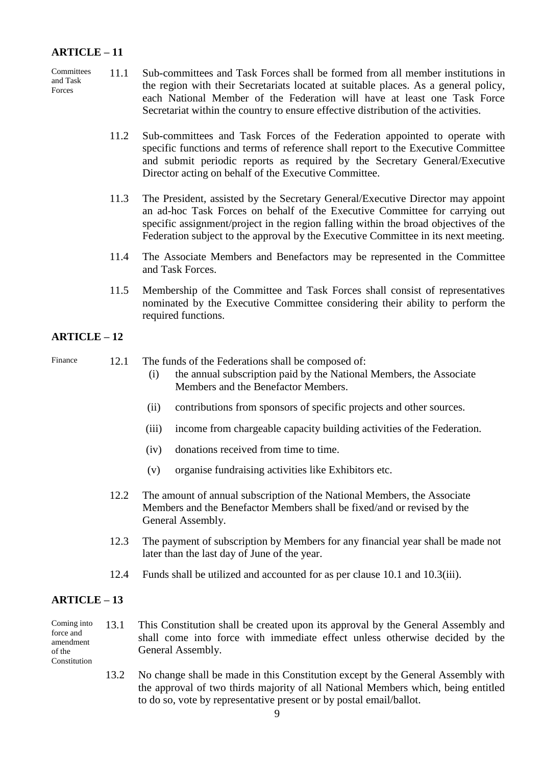- **Committees** and Task Forces 11.1 Sub-committees and Task Forces shall be formed from all member institutions in the region with their Secretariats located at suitable places. As a general policy, each National Member of the Federation will have at least one Task Force Secretariat within the country to ensure effective distribution of the activities.
	- 11.2 Sub-committees and Task Forces of the Federation appointed to operate with specific functions and terms of reference shall report to the Executive Committee and submit periodic reports as required by the Secretary General/Executive Director acting on behalf of the Executive Committee.
	- 11.3 The President, assisted by the Secretary General/Executive Director may appoint an ad-hoc Task Forces on behalf of the Executive Committee for carrying out specific assignment/project in the region falling within the broad objectives of the Federation subject to the approval by the Executive Committee in its next meeting.
	- 11.4 The Associate Members and Benefactors may be represented in the Committee and Task Forces.
	- 11.5 Membership of the Committee and Task Forces shall consist of representatives nominated by the Executive Committee considering their ability to perform the required functions.

#### **ARTICLE – 12**

Finance 12.1 The funds of the Federations shall be composed of:

- (i) the annual subscription paid by the National Members, the Associate Members and the Benefactor Members.
- (ii) contributions from sponsors of specific projects and other sources.
- (iii) income from chargeable capacity building activities of the Federation.
- (iv) donations received from time to time.
- (v) organise fundraising activities like Exhibitors etc.
- 12.2 The amount of annual subscription of the National Members, the Associate Members and the Benefactor Members shall be fixed/and or revised by the General Assembly.
- 12.3 The payment of subscription by Members for any financial year shall be made not later than the last day of June of the year.
- 12.4 Funds shall be utilized and accounted for as per clause 10.1 and 10.3(iii).

#### **ARTICLE – 13**

#### Coming into force and amendment of the Constitution 13.1 This Constitution shall be created upon its approval by the General Assembly and shall come into force with immediate effect unless otherwise decided by the General Assembly.

13.2 No change shall be made in this Constitution except by the General Assembly with the approval of two thirds majority of all National Members which, being entitled to do so, vote by representative present or by postal email/ballot.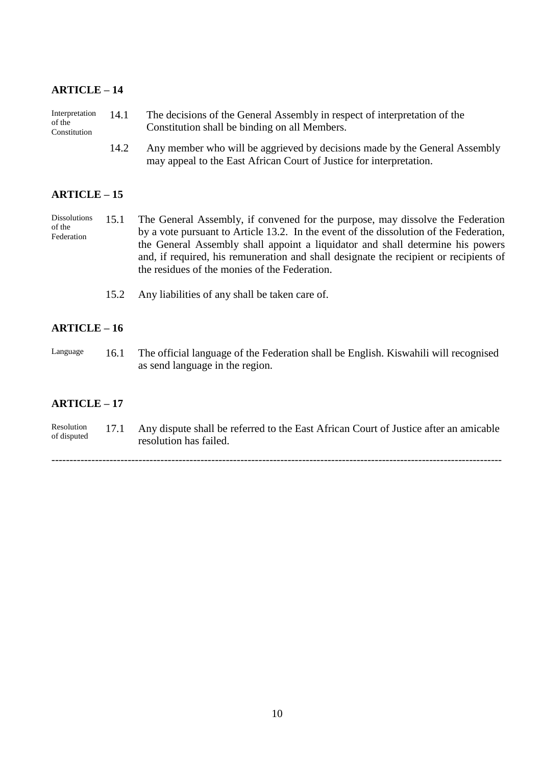| Interpretation | 14.1 | The decisions of the General Assembly in respect of interpretation of the |
|----------------|------|---------------------------------------------------------------------------|
| of the         |      | Constitution shall be binding on all Members.                             |
| Constitution   |      |                                                                           |

14.2 Any member who will be aggrieved by decisions made by the General Assembly may appeal to the East African Court of Justice for interpretation.

#### **ARTICLE – 15**

Dissolutions of the Federation 15.1 The General Assembly, if convened for the purpose, may dissolve the Federation by a vote pursuant to Article 13.2. In the event of the dissolution of the Federation, the General Assembly shall appoint a liquidator and shall determine his powers and, if required, his remuneration and shall designate the recipient or recipients of the residues of the monies of the Federation.

15.2 Any liabilities of any shall be taken care of.

#### **ARTICLE – 16**

Language 16.1 The official language of the Federation shall be English. Kiswahili will recognised as send language in the region.

#### **ARTICLE – 17**

Resolution of disputed 17.1 Any dispute shall be referred to the East African Court of Justice after an amicable resolution has failed.

----------------------------------------------------------------------------------------------------------------------------